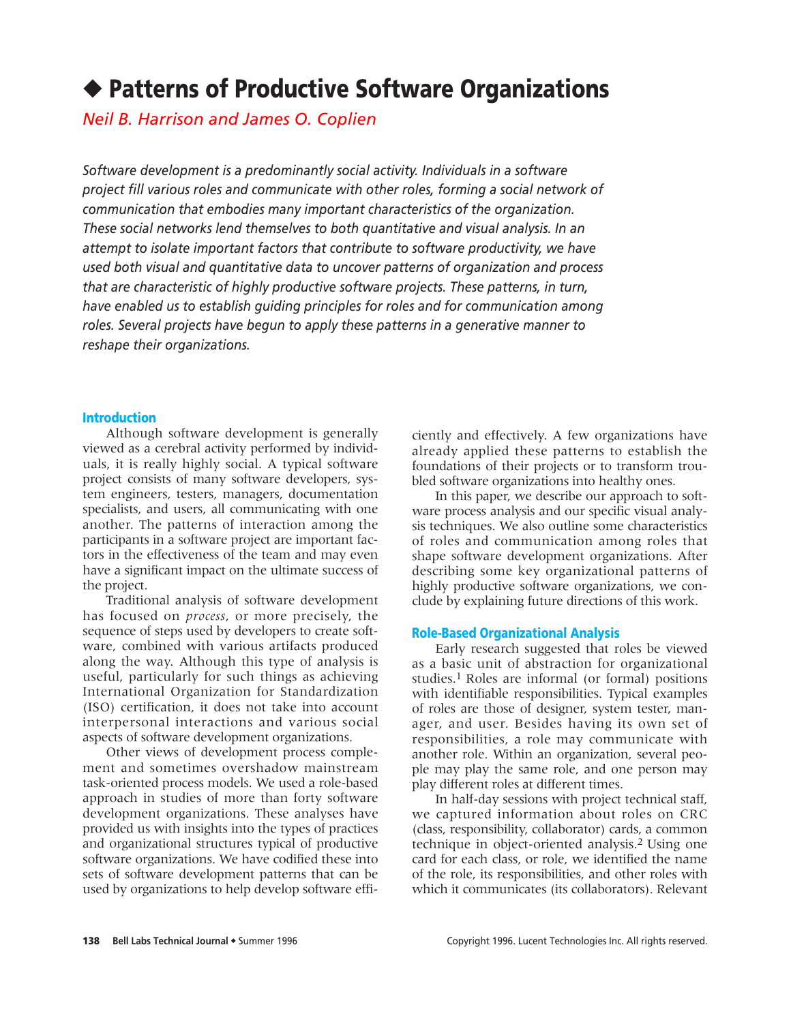# ◆ **Patterns of Productive Software Organizations**

*[Neil B. Harrison and James O. Coplien](#page-7-0)*

*Software development is a predominantly social activity. Individuals in a software project fill various roles and communicate with other roles, forming a social network of communication that embodies many important characteristics of the organization. These social networks lend themselves to both quantitative and visual analysis. In an attempt to isolate important factors that contribute to software productivity, we have used both visual and quantitative data to uncover patterns of organization and process that are characteristic of highly productive software projects. These patterns, in turn, have enabled us to establish guiding principles for roles and for communication among roles. Several projects have begun to apply these patterns in a generative manner to reshape their organizations.*

# **Introduction**

Although software development is generally viewed as a cerebral activity performed by individuals, it is really highly social. A typical software project consists of many software developers, system engineers, testers, managers, documentation specialists, and users, all communicating with one another. The patterns of interaction among the participants in a software project are important factors in the effectiveness of the team and may even have a significant impact on the ultimate success of the project.

Traditional analysis of software development has focused on *process*, or more precisely, the sequence of steps used by developers to create software, combined with various artifacts produced along the way. Although this type of analysis is useful, particularly for such things as achieving International Organization for Standardization (ISO) certification, it does not take into account interpersonal interactions and various social aspects of software development organizations.

Other views of development process complement and sometimes overshadow mainstream task-oriented process models. We used a role-based approach in studies of more than forty software development organizations. These analyses have provided us with insights into the types of practices and organizational structures typical of productive software organizations. We have codified these into sets of software development patterns that can be used by organizations to help develop software efficiently and effectively. A few organizations have already applied these patterns to establish the foundations of their projects or to transform troubled software organizations into healthy ones.

In this paper, we describe our approach to software process analysis and our specific visual analysis techniques. We also outline some characteristics of roles and communication among roles that shape software development organizations. After describing some key organizational patterns of highly productive software organizations, we conclude by explaining future directions of this work.

## **Role-Based Organizational Analysis**

Early research suggested that roles be viewed as a basic unit of abstraction for organizational studies.1 Roles are informal (or formal) positions with identifiable responsibilities. Typical examples of roles are those of designer, system tester, manager, and user. Besides having its own set of responsibilities, a role may communicate with another role. Within an organization, several people may play the same role, and one person may play different roles at different times.

In half-day sessions with project technical staff, we captured information about roles on CRC (class, responsibility, collaborator) cards, a common technique in object-oriented analysis.2 Using one card for each class, or role, we identified the name of the role, its responsibilities, and other roles with which it communicates (its collaborators). Relevant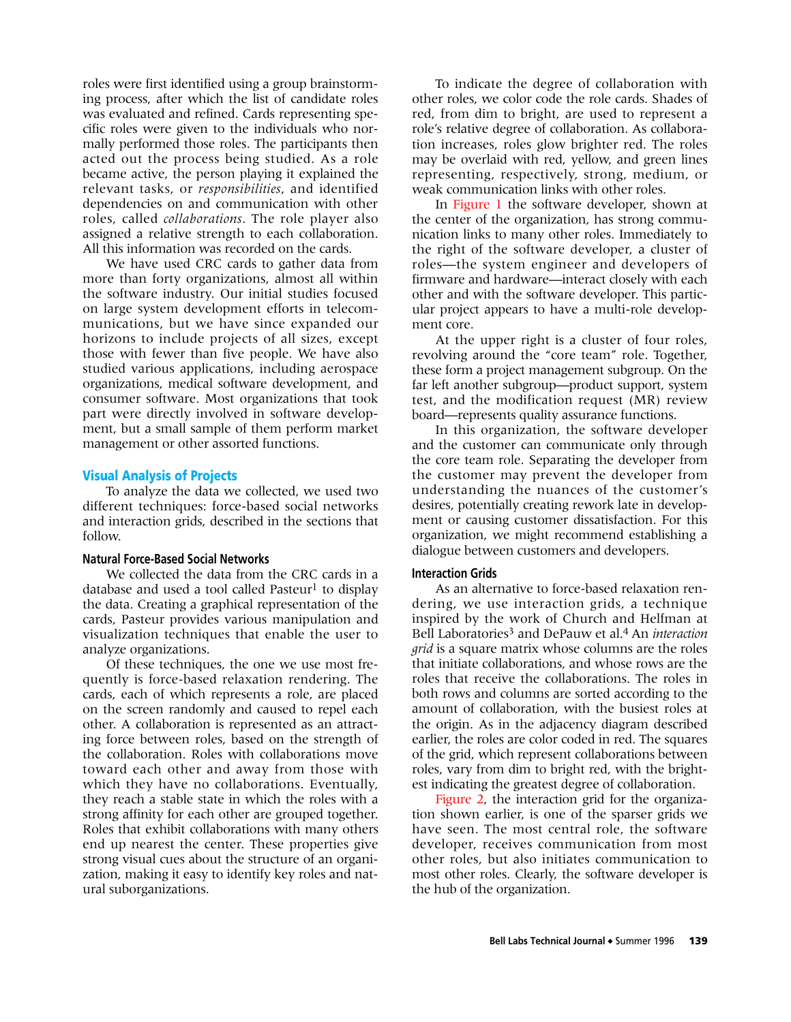roles were first identified using a group brainstorming process, after which the list of candidate roles was evaluated and refined. Cards representing specific roles were given to the individuals who normally performed those roles. The participants then acted out the process being studied. As a role became active, the person playing it explained the relevant tasks, or *responsibilities*, and identified dependencies on and communication with other roles, called *collaborations*. The role player also assigned a relative strength to each collaboration. All this information was recorded on the cards.

We have used CRC cards to gather data from more than forty organizations, almost all within the software industry. Our initial studies focused on large system development efforts in telecommunications, but we have since expanded our horizons to include projects of all sizes, except those with fewer than five people. We have also studied various applications, including aerospace organizations, medical software development, and consumer software. Most organizations that took part were directly involved in software development, but a small sample of them perform market management or other assorted functions.

#### **Visual Analysis of Projects**

To analyze the data we collected, we used two different techniques: force-based social networks and interaction grids, described in the sections that follow.

#### **Natural Force-Based Social Networks**

We collected the data from the CRC cards in a database and used a tool called Pasteur<sup>1</sup> to display the data. Creating a graphical representation of the cards, Pasteur provides various manipulation and visualization techniques that enable the user to analyze organizations.

Of these techniques, the one we use most frequently is force-based relaxation rendering. The cards, each of which represents a role, are placed on the screen randomly and caused to repel each other. A collaboration is represented as an attracting force between roles, based on the strength of the collaboration. Roles with collaborations move toward each other and away from those with which they have no collaborations. Eventually, they reach a stable state in which the roles with a strong affinity for each other are grouped together. Roles that exhibit collaborations with many others end up nearest the center. These properties give strong visual cues about the structure of an organization, making it easy to identify key roles and natural suborganizations.

To indicate the degree of collaboration with other roles, we color code the role cards. Shades of red, from dim to bright, are used to represent a role's relative degree of collaboration. As collaboration increases, roles glow brighter red. The roles may be overlaid with red, yellow, and green lines representing, respectively, strong, medium, or weak communication links with other roles.

In [Figure 1 t](#page-2-0)he software developer, shown at the center of the organization, has strong communication links to many other roles. Immediately to the right of the software developer, a cluster of roles—the system engineer and developers of firmware and hardware—interact closely with each other and with the software developer. This particular project appears to have a multi-role development core.

At the upper right is a cluster of four roles, revolving around the "core team" role. Together, these form a project management subgroup. On the far left another subgroup—product support, system test, and the modification request (MR) review board—represents quality assurance functions.

In this organization, the software developer and the customer can communicate only through the core team role. Separating the developer from the customer may prevent the developer from understanding the nuances of the customer's desires, potentially creating rework late in development or causing customer dissatisfaction. For this organization, we might recommend establishing a dialogue between customers and developers.

#### **Interaction Grids**

As an alternative to force-based relaxation rendering, we use interaction grids, a technique inspired by the work of Church and Helfman at Bell Laboratories3 and DePauw et al.4 An *interaction grid* is a square matrix whose columns are the roles that initiate collaborations, and whose rows are the roles that receive the collaborations. The roles in both rows and columns are sorted according to the amount of collaboration, with the busiest roles at the origin. As in the adjacency diagram described earlier, the roles are color coded in red. The squares of the grid, which represent collaborations between roles, vary from dim to bright red, with the brightest indicating the greatest degree of collaboration.

[Figure 2, t](#page-2-0)he interaction grid for the organization shown earlier, is one of the sparser grids we have seen. The most central role, the software developer, receives communication from most other roles, but also initiates communication to most other roles. Clearly, the software developer is the hub of the organization.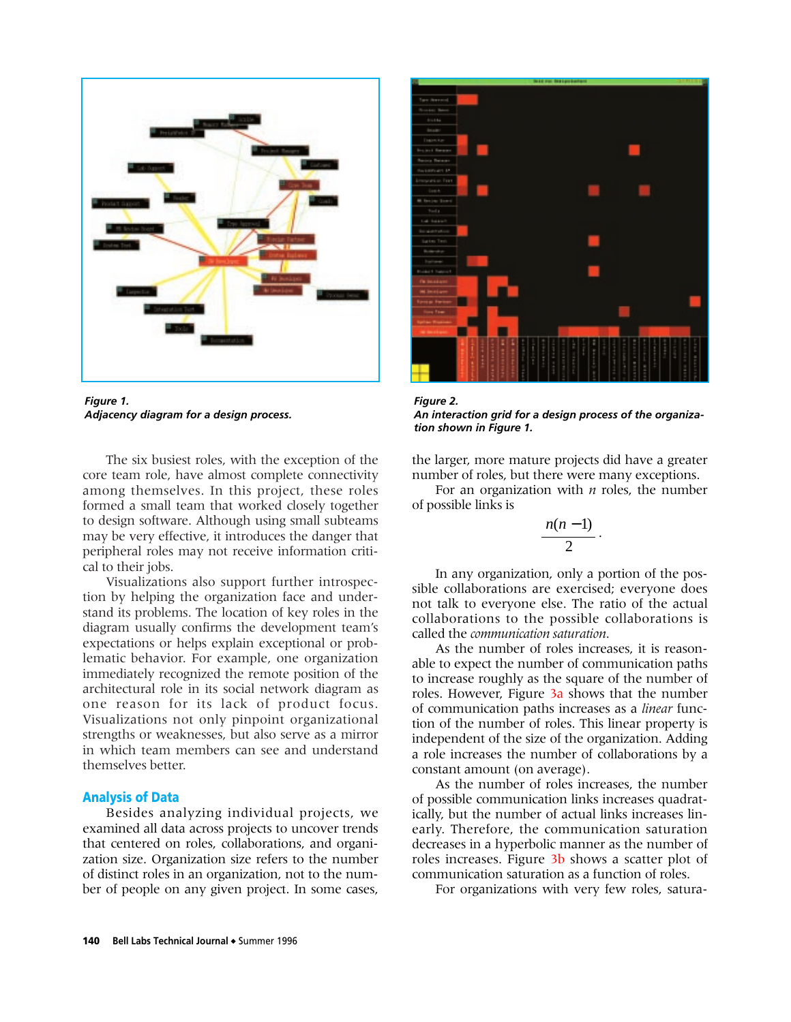<span id="page-2-0"></span>

*Figure 1. Adjacency diagram for a design process.*

The six busiest roles, with the exception of the core team role, have almost complete connectivity among themselves. In this project, these roles formed a small team that worked closely together to design software. Although using small subteams may be very effective, it introduces the danger that peripheral roles may not receive information critical to their jobs.

Visualizations also support further introspection by helping the organization face and understand its problems. The location of key roles in the diagram usually confirms the development team's expectations or helps explain exceptional or problematic behavior. For example, one organization immediately recognized the remote position of the architectural role in its social network diagram as one reason for its lack of product focus. Visualizations not only pinpoint organizational strengths or weaknesses, but also serve as a mirror in which team members can see and understand themselves better.

#### **Analysis of Data**

Besides analyzing individual projects, we examined all data across projects to uncover trends that centered on roles, collaborations, and organization size. Organization size refers to the number of distinct roles in an organization, not to the number of people on any given project. In some cases,



*Figure 2. An interaction grid for a design process of the organization shown in Figure 1.*

the larger, more mature projects did have a greater number of roles, but there were many exceptions.

For an organization with *n* roles, the number of possible links is

$$
\frac{n(n-1)}{2}.
$$

In any organization, only a portion of the possible collaborations are exercised; everyone does not talk to everyone else. The ratio of the actual collaborations to the possible collaborations is called the *communication saturation*.

As the number of roles increases, it is reasonable to expect the number of communication paths to increase roughly as the square of the number of roles. However, Figur[e 3a s](#page-3-0)hows that the number of communication paths increases as a *linear* function of the number of roles. This linear property is independent of the size of the organization. Adding a role increases the number of collaborations by a constant amount (on average).

As the number of roles increases, the number of possible communication links increases quadratically, but the number of actual links increases linearly. Therefore, the communication saturation decreases in a hyperbolic manner as the number of roles increases. Figure 3b shows a scatter plot of communication saturation as a function of roles.

For organizations with very few roles, satura-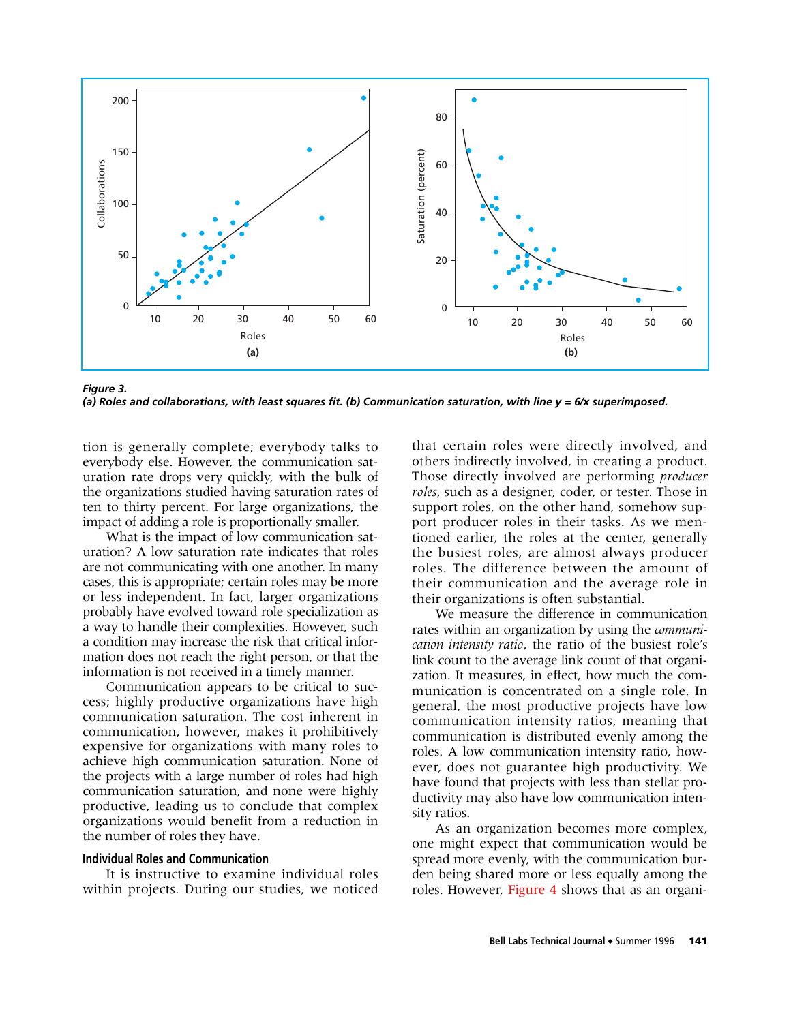<span id="page-3-0"></span>

*Figure 3. (a) Roles and collaborations, with least squares fit. (b) Communication saturation, with line y = 6/x superimposed.*

tion is generally complete; everybody talks to everybody else. However, the communication saturation rate drops very quickly, with the bulk of the organizations studied having saturation rates of ten to thirty percent. For large organizations, the impact of adding a role is proportionally smaller.

What is the impact of low communication saturation? A low saturation rate indicates that roles are not communicating with one another. In many cases, this is appropriate; certain roles may be more or less independent. In fact, larger organizations probably have evolved toward role specialization as a way to handle their complexities. However, such a condition may increase the risk that critical information does not reach the right person, or that the information is not received in a timely manner.

Communication appears to be critical to success; highly productive organizations have high communication saturation. The cost inherent in communication, however, makes it prohibitively expensive for organizations with many roles to achieve high communication saturation. None of the projects with a large number of roles had high communication saturation, and none were highly productive, leading us to conclude that complex organizations would benefit from a reduction in the number of roles they have.

# **Individual Roles and Communication**

It is instructive to examine individual roles within projects. During our studies, we noticed that certain roles were directly involved, and others indirectly involved, in creating a product. Those directly involved are performing *producer roles*, such as a designer, coder, or tester. Those in support roles, on the other hand, somehow support producer roles in their tasks. As we mentioned earlier, the roles at the center, generally the busiest roles, are almost always producer roles. The difference between the amount of their communication and the average role in their organizations is often substantial.

We measure the difference in communication rates within an organization by using the *communication intensity ratio*, the ratio of the busiest role's link count to the average link count of that organization. It measures, in effect, how much the communication is concentrated on a single role. In general, the most productive projects have low communication intensity ratios, meaning that communication is distributed evenly among the roles. A low communication intensity ratio, however, does not guarantee high productivity. We have found that projects with less than stellar productivity may also have low communication intensity ratios.

As an organization becomes more complex, one might expect that communication would be spread more evenly, with the communication burden being shared more or less equally among the roles. However, [Figure 4 s](#page-4-0)hows that as an organi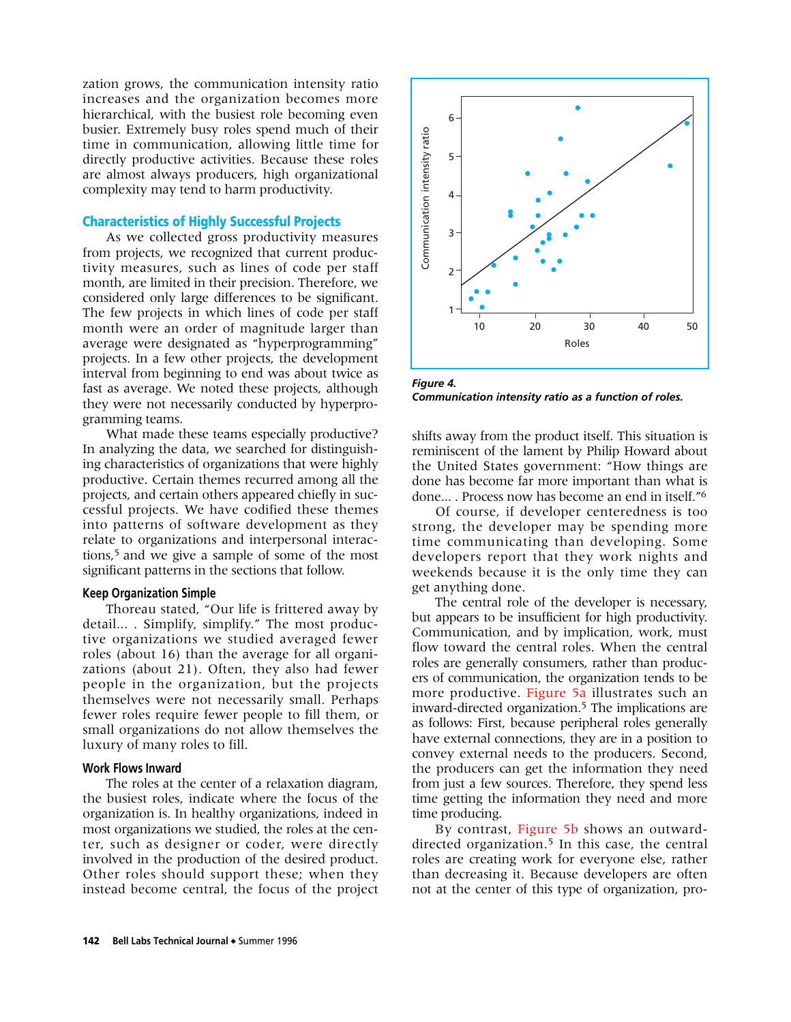<span id="page-4-0"></span>zation grows, the communication intensity ratio increases and the organization becomes more hierarchical, with the busiest role becoming even busier. Extremely busy roles spend much of their time in communication, allowing little time for directly productive activities. Because these roles are almost always producers, high organizational complexity may tend to harm productivity.

### **Characteristics of Highly Successful Projects**

As we collected gross productivity measures from projects, we recognized that current productivity measures, such as lines of code per staff month, are limited in their precision. Therefore, we considered only large differences to be significant. The few projects in which lines of code per staff month were an order of magnitude larger than average were designated as "hyperprogramming" projects. In a few other projects, the development interval from beginning to end was about twice as fast as average. We noted these projects, although they were not necessarily conducted by hyperprogramming teams.

What made these teams especially productive? In analyzing the data, we searched for distinguishing characteristics of organizations that were highly productive. Certain themes recurred among all the projects, and certain others appeared chiefly in successful projects. We have codified these themes into patterns of software development as they relate to organizations and interpersonal interactions,5 and we give a sample of some of the most significant patterns in the sections that follow.

#### **Keep Organization Simple**

Thoreau stated, "Our life is frittered away by detail... . Simplify, simplify." The most productive organizations we studied averaged fewer roles (about 16) than the average for all organizations (about 21). Often, they also had fewer people in the organization, but the projects themselves were not necessarily small. Perhaps fewer roles require fewer people to fill them, or small organizations do not allow themselves the luxury of many roles to fill.

#### **Work Flows Inward**

The roles at the center of a relaxation diagram, the busiest roles, indicate where the focus of the organization is. In healthy organizations, indeed in most organizations we studied, the roles at the center, such as designer or coder, were directly involved in the production of the desired product. Other roles should support these; when they instead become central, the focus of the project



*Figure 4. Communication intensity ratio as a function of roles.*

shifts away from the product itself. This situation is reminiscent of the lament by Philip Howard about the United States government: "How things are done has become far more important than what is done... . Process now has become an end in itself."6

Of course, if developer centeredness is too strong, the developer may be spending more time communicating than developing. Some developers report that they work nights and weekends because it is the only time they can get anything done.

The central role of the developer is necessary, but appears to be insufficient for high productivity. Communication, and by implication, work, must flow toward the central roles. When the central roles are generally consumers, rather than producers of communication, the organization tends to be more productive. Figure 5a illustrates such an inward-directed [organization.5](#page-6-0) The implications are as follows: First, because peripheral roles generally have external connections, they are in a position to convey external needs to the producers. Second, the producers can get the information they need from just a few sources. Therefore, they spend less time getting the information they need and more time producing.

By contrast, Figure 5b shows an outwarddirected organization.<sup>5</sup> In this case, the central roles are creating work for everyone else, rather than decreasing it. Because developers are often not at the center of this type of organization, pro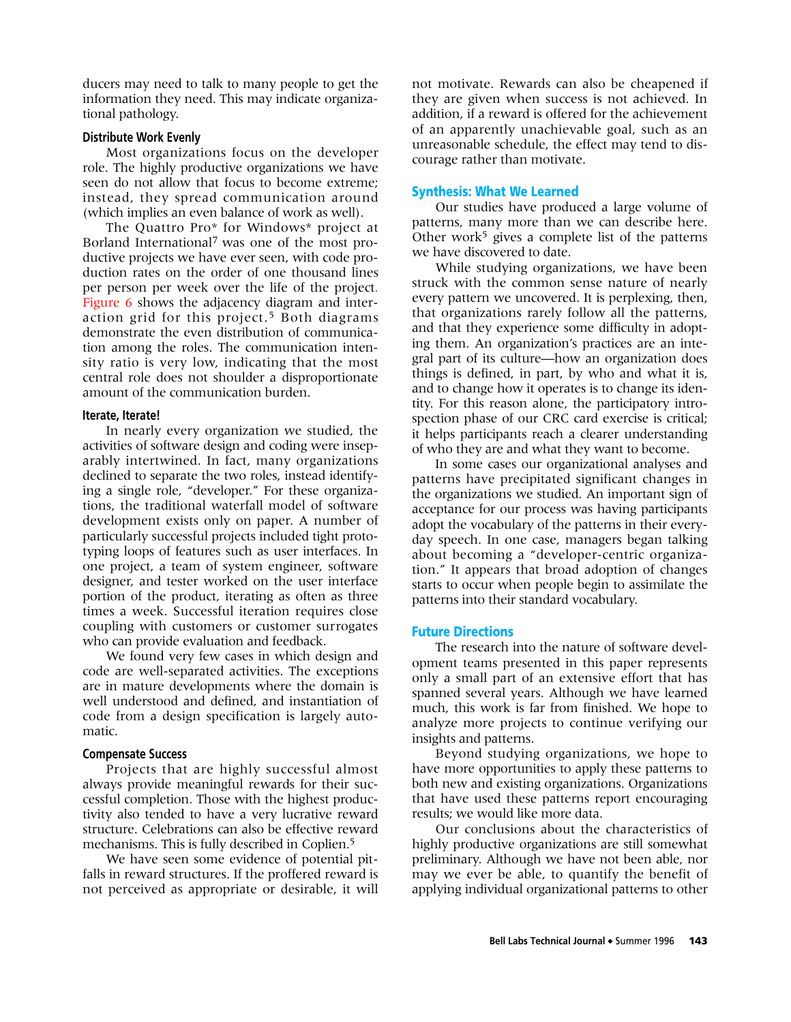ducers may need to talk to many people to get the information they need. This may indicate organizational pathology.

# **Distribute Work Evenly**

Most organizations focus on the developer role. The highly productive organizations we have seen do not allow that focus to become extreme; instead, they spread communication around (which implies an even balance of work as well).

The Quattro Pro\* for Windows\* project at Borland International7 was one of the most productive projects we have ever seen, with code production rates on the order of one thousand lines per person per week over the life of the project. [Figure 6 sh](#page-6-0)ows the adjacency diagram and interaction grid for this project.<sup>5</sup> Both diagrams demonstrate the even distribution of communication among the roles. The communication intensity ratio is very low, indicating that the most central role does not shoulder a disproportionate amount of the communication burden.

#### **Iterate, Iterate!**

In nearly every organization we studied, the activities of software design and coding were inseparably intertwined. In fact, many organizations declined to separate the two roles, instead identifying a single role, "developer." For these organizations, the traditional waterfall model of software development exists only on paper. A number of particularly successful projects included tight prototyping loops of features such as user interfaces. In one project, a team of system engineer, software designer, and tester worked on the user interface portion of the product, iterating as often as three times a week. Successful iteration requires close coupling with customers or customer surrogates who can provide evaluation and feedback.

We found very few cases in which design and code are well-separated activities. The exceptions are in mature developments where the domain is well understood and defined, and instantiation of code from a design specification is largely automatic.

#### **Compensate Success**

Projects that are highly successful almost always provide meaningful rewards for their successful completion. Those with the highest productivity also tended to have a very lucrative reward structure. Celebrations can also be effective reward mechanisms. This is fully described in Coplien.5

We have seen some evidence of potential pitfalls in reward structures. If the proffered reward is not perceived as appropriate or desirable, it will not motivate. Rewards can also be cheapened if they are given when success is not achieved. In addition, if a reward is offered for the achievement of an apparently unachievable goal, such as an unreasonable schedule, the effect may tend to discourage rather than motivate.

### **Synthesis: What We Learned**

Our studies have produced a large volume of patterns, many more than we can describe here. Other work<sup>5</sup> gives a complete list of the patterns we have discovered to date.

While studying organizations, we have been struck with the common sense nature of nearly every pattern we uncovered. It is perplexing, then, that organizations rarely follow all the patterns, and that they experience some difficulty in adopting them. An organization's practices are an integral part of its culture—how an organization does things is defined, in part, by who and what it is, and to change how it operates is to change its identity. For this reason alone, the participatory introspection phase of our CRC card exercise is critical; it helps participants reach a clearer understanding of who they are and what they want to become.

In some cases our organizational analyses and patterns have precipitated significant changes in the organizations we studied. An important sign of acceptance for our process was having participants adopt the vocabulary of the patterns in their everyday speech. In one case, managers began talking about becoming a "developer-centric organization." It appears that broad adoption of changes starts to occur when people begin to assimilate the patterns into their standard vocabulary.

# **Future Directions**

The research into the nature of software development teams presented in this paper represents only a small part of an extensive effort that has spanned several years. Although we have learned much, this work is far from finished. We hope to analyze more projects to continue verifying our insights and patterns.

Beyond studying organizations, we hope to have more opportunities to apply these patterns to both new and existing organizations. Organizations that have used these patterns report encouraging results; we would like more data.

Our conclusions about the characteristics of highly productive organizations are still somewhat preliminary. Although we have not been able, nor may we ever be able, to quantify the benefit of applying individual organizational patterns to other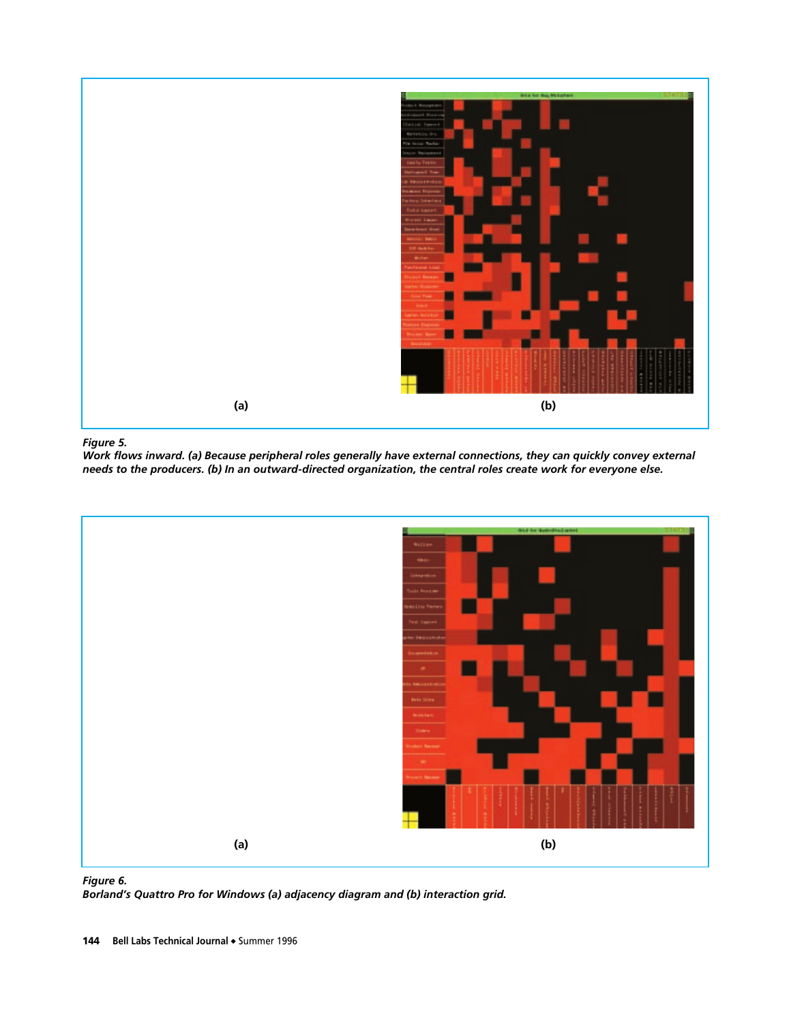<span id="page-6-0"></span>

*Figure 5.*

*Work flows inward. (a) Because peripheral roles generally have external connections, they can quickly convey external needs to the producers. (b) In an outward-directed organization, the central roles create work for everyone else.*



*Figure 6. Borland's Quattro Pro for Windows (a) adjacency diagram and (b) interaction grid.*